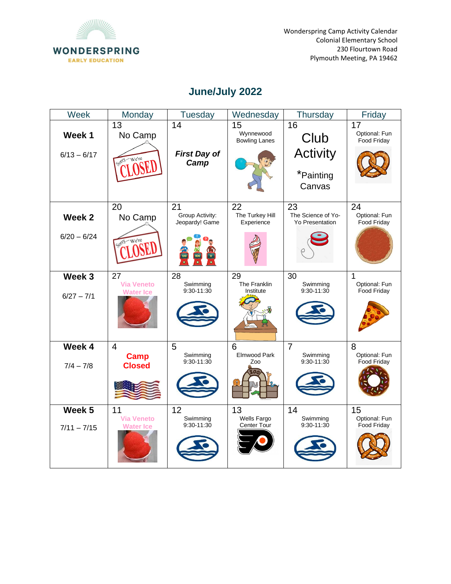

Wonderspring Camp Activity Calendar Colonial Elementary School 230 Flourtown Road Plymouth Meeting, PA 19462

## **June/July 2022**

| Week                    | Monday                                         | <b>Tuesday</b>                          | Wednesday                               | Thursday                                             | Friday                             |
|-------------------------|------------------------------------------------|-----------------------------------------|-----------------------------------------|------------------------------------------------------|------------------------------------|
| Week 1<br>$6/13 - 6/17$ | 13<br>No Camp<br>Sord We're                    | 14<br><b>First Day of</b><br>Camp       | 15<br>Wynnewood<br><b>Bowling Lanes</b> | 16<br>Club<br><b>Activity</b><br>*Painting<br>Canvas | 17<br>Optional: Fun<br>Food Friday |
| Week 2<br>$6/20 - 6/24$ | 20<br>No Camp                                  | 21<br>Group Activity:<br>Jeopardy! Game | 22<br>The Turkey Hill<br>Experience     | 23<br>The Science of Yo-<br><b>Yo Presentation</b>   | 24<br>Optional: Fun<br>Food Friday |
| Week 3<br>$6/27 - 7/1$  | 27<br><b>Via Veneto</b><br><b>Water Ice</b>    | 28<br>Swimming<br>9:30-11:30            | 29<br>The Franklin<br>Institute         | 30<br>Swimming<br>9:30-11:30                         | 1<br>Optional: Fun<br>Food Friday  |
| Week 4<br>$7/4 - 7/8$   | $\overline{4}$<br><b>Camp</b><br><b>Closed</b> | 5<br>Swimming<br>9:30-11:30             | 6<br>Elmwood Park<br>Zoo                | $\overline{7}$<br>Swimming<br>9:30-11:30             | 8<br>Optional: Fun<br>Food Friday  |
| Week 5<br>$7/11 - 7/15$ | 11<br><b>Via Veneto</b><br><b>Water Ice</b>    | 12<br>Swimming<br>9:30-11:30            | 13<br>Wells Fargo<br>Center Tour        | 14<br>Swimming<br>9:30-11:30                         | 15<br>Optional: Fun<br>Food Friday |